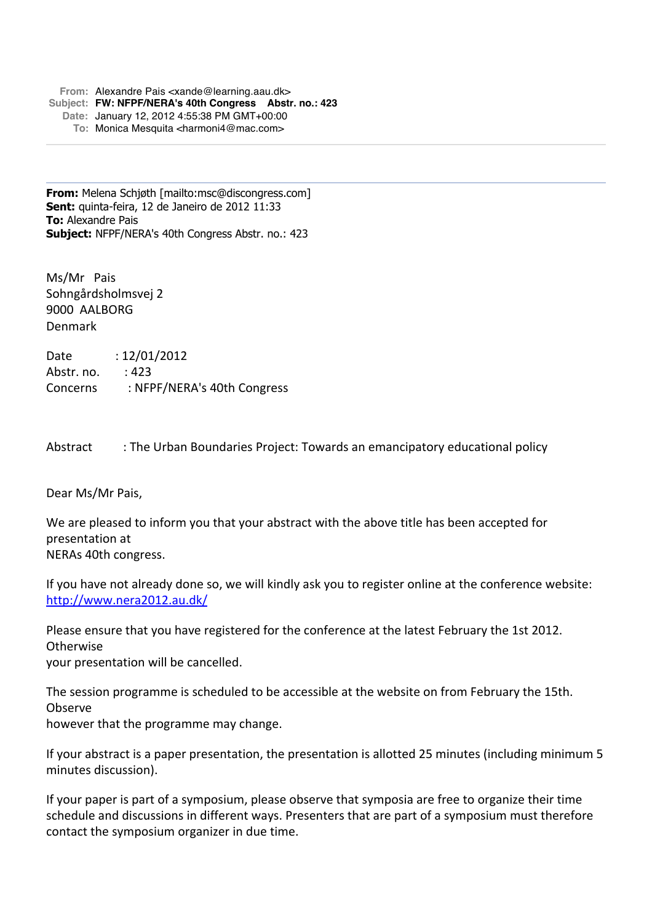**From:** Alexandre Pais <xande@learning.aau.dk> **Subject: FW: NFPF/NERA's 40th Congress Abstr. no.: 423 Date:** January 12, 2012 4:55:38 PM GMT+00:00 **To:** Monica Mesquita <harmoni4@mac.com>

**From:** Melena Schjøth [mailto:msc@discongress.com] **Sent:** quinta-feira, 12 de Janeiro de 2012 11:33 **To:** Alexandre Pais **Subject:** NFPF/NERA's 40th Congress Abstr. no.: 423

Ms/Mr Pais Sohngårdsholmsvej 2 9000 AALBORG Denmark

Date : 12/01/2012 Abstr. no. : 423 Concerns : NFPF/NERA's 40th Congress

Abstract : The Urban Boundaries Project: Towards an emancipatory educational policy

Dear Ms/Mr Pais,

We are pleased to inform you that your abstract with the above title has been accepted for presentation at NERAs 40th congress.

If you have not already done so, we will kindly ask you to register online at the conference website: http://www.nera2012.au.dk/

Please ensure that you have registered for the conference at the latest February the 1st 2012. **Otherwise** your presentation will be cancelled.

The session programme is scheduled to be accessible at the website on from February the 15th. Observe however that the programme may change.

If your abstract is a paper presentation, the presentation is allotted 25 minutes (including minimum 5 minutes discussion).

If your paper is part of a symposium, please observe that symposia are free to organize their time schedule and discussions in different ways. Presenters that are part of a symposium must therefore contact the symposium organizer in due time.